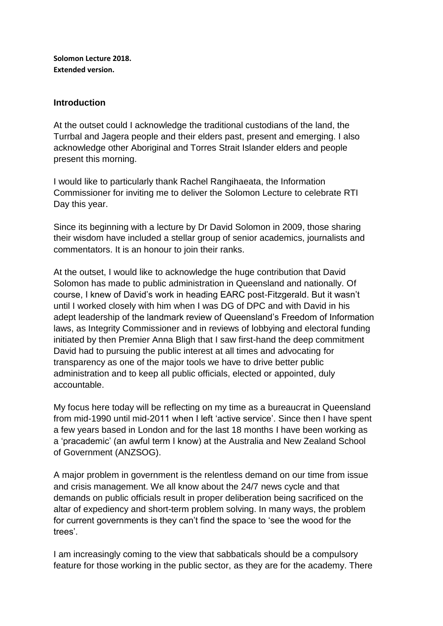**Solomon Lecture 2018. Extended version.**

### **Introduction**

At the outset could I acknowledge the traditional custodians of the land, the Turrbal and Jagera people and their elders past, present and emerging. I also acknowledge other Aboriginal and Torres Strait Islander elders and people present this morning.

I would like to particularly thank Rachel Rangihaeata, the Information Commissioner for inviting me to deliver the Solomon Lecture to celebrate RTI Day this year.

Since its beginning with a lecture by Dr David Solomon in 2009, those sharing their wisdom have included a stellar group of senior academics, journalists and commentators. It is an honour to join their ranks.

At the outset, I would like to acknowledge the huge contribution that David Solomon has made to public administration in Queensland and nationally. Of course, I knew of David's work in heading EARC post-Fitzgerald. But it wasn't until I worked closely with him when I was DG of DPC and with David in his adept leadership of the landmark review of Queensland's Freedom of Information laws, as Integrity Commissioner and in reviews of lobbying and electoral funding initiated by then Premier Anna Bligh that I saw first-hand the deep commitment David had to pursuing the public interest at all times and advocating for transparency as one of the major tools we have to drive better public administration and to keep all public officials, elected or appointed, duly accountable.

My focus here today will be reflecting on my time as a bureaucrat in Queensland from mid-1990 until mid-2011 when I left 'active service'. Since then I have spent a few years based in London and for the last 18 months I have been working as a 'pracademic' (an awful term I know) at the Australia and New Zealand School of Government (ANZSOG).

A major problem in government is the relentless demand on our time from issue and crisis management. We all know about the 24/7 news cycle and that demands on public officials result in proper deliberation being sacrificed on the altar of expediency and short-term problem solving. In many ways, the problem for current governments is they can't find the space to 'see the wood for the trees'.

I am increasingly coming to the view that sabbaticals should be a compulsory feature for those working in the public sector, as they are for the academy. There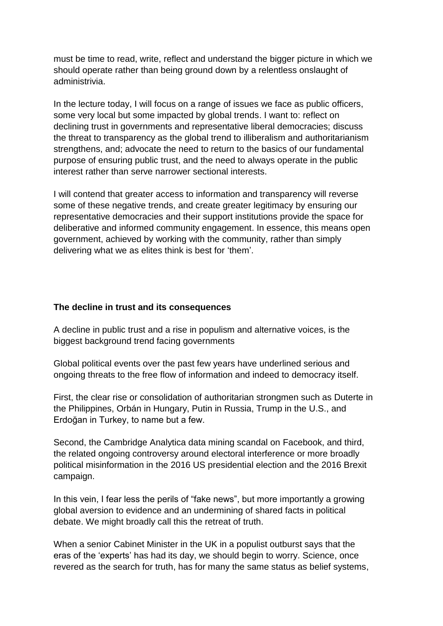must be time to read, write, reflect and understand the bigger picture in which we should operate rather than being ground down by a relentless onslaught of administrivia.

In the lecture today, I will focus on a range of issues we face as public officers, some very local but some impacted by global trends. I want to: reflect on declining trust in governments and representative liberal democracies; discuss the threat to transparency as the global trend to illiberalism and authoritarianism strengthens, and; advocate the need to return to the basics of our fundamental purpose of ensuring public trust, and the need to always operate in the public interest rather than serve narrower sectional interests.

I will contend that greater access to information and transparency will reverse some of these negative trends, and create greater legitimacy by ensuring our representative democracies and their support institutions provide the space for deliberative and informed community engagement. In essence, this means open government, achieved by working with the community, rather than simply delivering what we as elites think is best for 'them'.

#### **The decline in trust and its consequences**

A decline in public trust and a rise in populism and alternative voices, is the biggest background trend facing governments

Global political events over the past few years have underlined serious and ongoing threats to the free flow of information and indeed to democracy itself.

First, the clear rise or consolidation of authoritarian strongmen such as Duterte in the Philippines, Orbán in Hungary, Putin in Russia, Trump in the U.S., and Erdoğan in Turkey, to name but a few.

Second, the Cambridge Analytica data mining scandal on Facebook, and third, the related ongoing controversy around electoral interference or more broadly political misinformation in the 2016 US presidential election and the 2016 Brexit campaign.

In this vein, I fear less the perils of "fake news", but more importantly a growing global aversion to evidence and an undermining of shared facts in political debate. We might broadly call this the retreat of truth.

When a senior Cabinet Minister in the UK in a populist outburst says that the eras of the 'experts' has had its day, we should begin to worry. Science, once revered as the search for truth, has for many the same status as belief systems,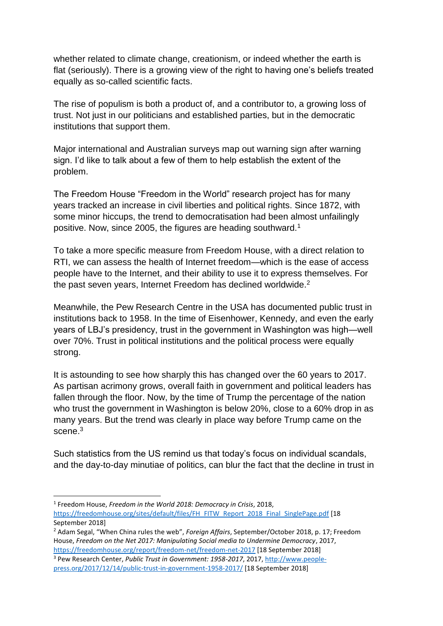whether related to climate change, creationism, or indeed whether the earth is flat (seriously). There is a growing view of the right to having one's beliefs treated equally as so-called scientific facts.

The rise of populism is both a product of, and a contributor to, a growing loss of trust. Not just in our politicians and established parties, but in the democratic institutions that support them.

Major international and Australian surveys map out warning sign after warning sign. I'd like to talk about a few of them to help establish the extent of the problem.

The Freedom House "Freedom in the World" research project has for many years tracked an increase in civil liberties and political rights. Since 1872, with some minor hiccups, the trend to democratisation had been almost unfailingly positive. Now, since 2005, the figures are heading southward.<sup>1</sup>

To take a more specific measure from Freedom House, with a direct relation to RTI, we can assess the health of Internet freedom—which is the ease of access people have to the Internet, and their ability to use it to express themselves. For the past seven years, Internet Freedom has declined worldwide.<sup>2</sup>

Meanwhile, the Pew Research Centre in the USA has documented public trust in institutions back to 1958. In the time of Eisenhower, Kennedy, and even the early years of LBJ's presidency, trust in the government in Washington was high—well over 70%. Trust in political institutions and the political process were equally strong.

It is astounding to see how sharply this has changed over the 60 years to 2017. As partisan acrimony grows, overall faith in government and political leaders has fallen through the floor. Now, by the time of Trump the percentage of the nation who trust the government in Washington is below 20%, close to a 60% drop in as many years. But the trend was clearly in place way before Trump came on the scene.<sup>3</sup>

Such statistics from the US remind us that today's focus on individual scandals, and the day-to-day minutiae of politics, can blur the fact that the decline in trust in

<sup>1</sup> Freedom House, *Freedom in the World 2018: Democracy in Crisis*, 2018, [https://freedomhouse.org/sites/default/files/FH\\_FITW\\_Report\\_2018\\_Final\\_SinglePage.pdf](https://freedomhouse.org/sites/default/files/FH_FITW_Report_2018_Final_SinglePage.pdf) [18 September 2018]

<sup>2</sup> Adam Segal, "When China rules the web", *Foreign Affairs*, September/October 2018, p. 17; Freedom House, *Freedom on the Net 2017: Manipulating Social media to Undermine Democracy*, 2017, <https://freedomhouse.org/report/freedom-net/freedom-net-2017> [18 September 2018]

<sup>3</sup> Pew Research Center, *Public Trust in Government: 1958-2017*, 2017[, http://www.people](http://www.people-press.org/2017/12/14/public-trust-in-government-1958-2017/)[press.org/2017/12/14/public-trust-in-government-1958-2017/](http://www.people-press.org/2017/12/14/public-trust-in-government-1958-2017/) [18 September 2018]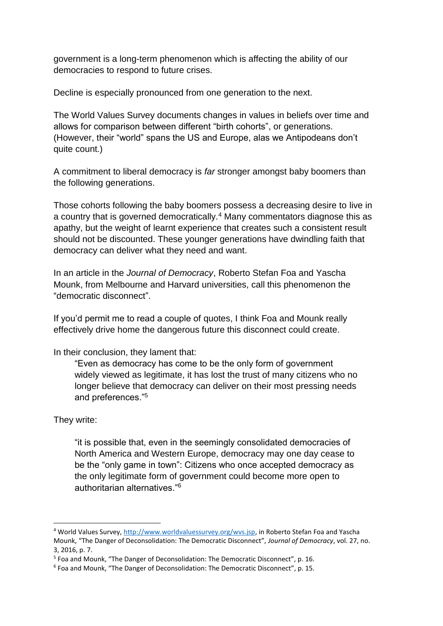government is a long-term phenomenon which is affecting the ability of our democracies to respond to future crises.

Decline is especially pronounced from one generation to the next.

The World Values Survey documents changes in values in beliefs over time and allows for comparison between different "birth cohorts", or generations. (However, their "world" spans the US and Europe, alas we Antipodeans don't quite count.)

A commitment to liberal democracy is *far* stronger amongst baby boomers than the following generations.

Those cohorts following the baby boomers possess a decreasing desire to live in a country that is governed democratically.<sup>4</sup> Many commentators diagnose this as apathy, but the weight of learnt experience that creates such a consistent result should not be discounted. These younger generations have dwindling faith that democracy can deliver what they need and want.

In an article in the *Journal of Democracy*, Roberto Stefan Foa and Yascha Mounk, from Melbourne and Harvard universities, call this phenomenon the "democratic disconnect".

If you'd permit me to read a couple of quotes, I think Foa and Mounk really effectively drive home the dangerous future this disconnect could create.

In their conclusion, they lament that:

"Even as democracy has come to be the only form of government widely viewed as legitimate, it has lost the trust of many citizens who no longer believe that democracy can deliver on their most pressing needs and preferences."<sup>5</sup>

### They write:

**.** 

"it is possible that, even in the seemingly consolidated democracies of North America and Western Europe, democracy may one day cease to be the "only game in town": Citizens who once accepted democracy as the only legitimate form of government could become more open to authoritarian alternatives."<sup>6</sup>

<sup>4</sup> World Values Survey, [http://www.worldvaluessurvey.org/wvs.jsp,](http://www.worldvaluessurvey.org/wvs.jsp) in Roberto Stefan Foa and Yascha Mounk, "The Danger of Deconsolidation: The Democratic Disconnect", *Journal of Democracy*, vol. 27, no. 3, 2016, p. 7.

<sup>5</sup> Foa and Mounk, "The Danger of Deconsolidation: The Democratic Disconnect", p. 16.

<sup>&</sup>lt;sup>6</sup> Foa and Mounk, "The Danger of Deconsolidation: The Democratic Disconnect", p. 15.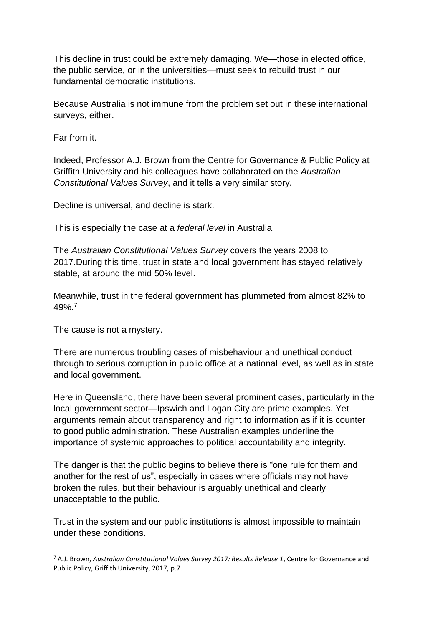This decline in trust could be extremely damaging. We—those in elected office, the public service, or in the universities—must seek to rebuild trust in our fundamental democratic institutions.

Because Australia is not immune from the problem set out in these international surveys, either.

Far from it.

Indeed, Professor A.J. Brown from the Centre for Governance & Public Policy at Griffith University and his colleagues have collaborated on the *Australian Constitutional Values Survey*, and it tells a very similar story.

Decline is universal, and decline is stark.

This is especially the case at a *federal level* in Australia.

The *Australian Constitutional Values Survey* covers the years 2008 to 2017.During this time, trust in state and local government has stayed relatively stable, at around the mid 50% level.

Meanwhile, trust in the federal government has plummeted from almost 82% to 49%.<sup>7</sup>

The cause is not a mystery.

1

There are numerous troubling cases of misbehaviour and unethical conduct through to serious corruption in public office at a national level, as well as in state and local government.

Here in Queensland, there have been several prominent cases, particularly in the local government sector—Ipswich and Logan City are prime examples. Yet arguments remain about transparency and right to information as if it is counter to good public administration. These Australian examples underline the importance of systemic approaches to political accountability and integrity.

The danger is that the public begins to believe there is "one rule for them and another for the rest of us", especially in cases where officials may not have broken the rules, but their behaviour is arguably unethical and clearly unacceptable to the public.

Trust in the system and our public institutions is almost impossible to maintain under these conditions.

<sup>7</sup> A.J. Brown, *Australian Constitutional Values Survey 2017: Results Release 1*, Centre for Governance and Public Policy, Griffith University, 2017, p.7.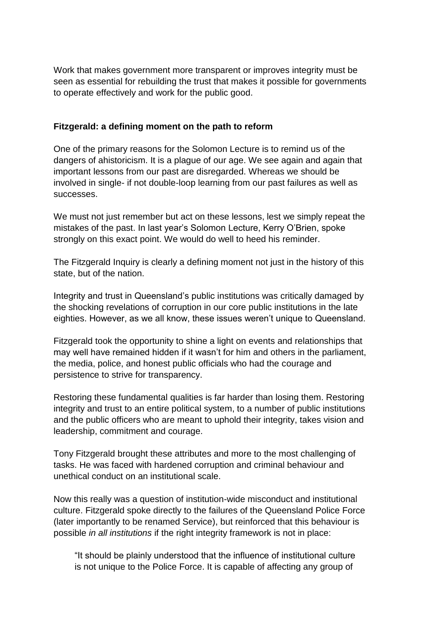Work that makes government more transparent or improves integrity must be seen as essential for rebuilding the trust that makes it possible for governments to operate effectively and work for the public good.

## **Fitzgerald: a defining moment on the path to reform**

One of the primary reasons for the Solomon Lecture is to remind us of the dangers of ahistoricism. It is a plague of our age. We see again and again that important lessons from our past are disregarded. Whereas we should be involved in single- if not double-loop learning from our past failures as well as successes.

We must not just remember but act on these lessons, lest we simply repeat the mistakes of the past. In last year's Solomon Lecture, Kerry O'Brien, spoke strongly on this exact point. We would do well to heed his reminder.

The Fitzgerald Inquiry is clearly a defining moment not just in the history of this state, but of the nation.

Integrity and trust in Queensland's public institutions was critically damaged by the shocking revelations of corruption in our core public institutions in the late eighties. However, as we all know, these issues weren't unique to Queensland.

Fitzgerald took the opportunity to shine a light on events and relationships that may well have remained hidden if it wasn't for him and others in the parliament, the media, police, and honest public officials who had the courage and persistence to strive for transparency.

Restoring these fundamental qualities is far harder than losing them. Restoring integrity and trust to an entire political system, to a number of public institutions and the public officers who are meant to uphold their integrity, takes vision and leadership, commitment and courage.

Tony Fitzgerald brought these attributes and more to the most challenging of tasks. He was faced with hardened corruption and criminal behaviour and unethical conduct on an institutional scale.

Now this really was a question of institution-wide misconduct and institutional culture. Fitzgerald spoke directly to the failures of the Queensland Police Force (later importantly to be renamed Service), but reinforced that this behaviour is possible *in all institutions* if the right integrity framework is not in place:

"It should be plainly understood that the influence of institutional culture is not unique to the Police Force. It is capable of affecting any group of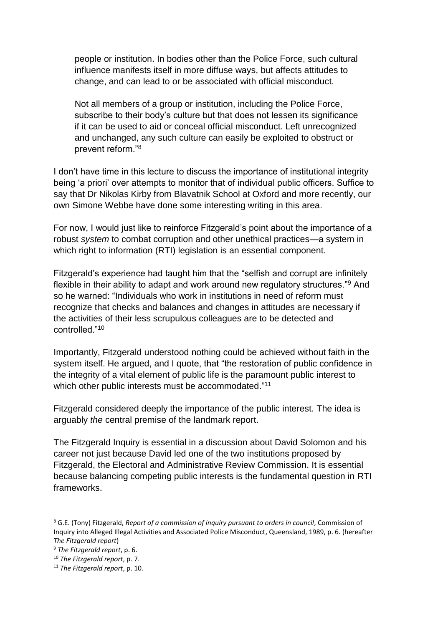people or institution. In bodies other than the Police Force, such cultural influence manifests itself in more diffuse ways, but affects attitudes to change, and can lead to or be associated with official misconduct.

Not all members of a group or institution, including the Police Force, subscribe to their body's culture but that does not lessen its significance if it can be used to aid or conceal official misconduct. Left unrecognized and unchanged, any such culture can easily be exploited to obstruct or prevent reform."<sup>8</sup>

I don't have time in this lecture to discuss the importance of institutional integrity being 'a priori' over attempts to monitor that of individual public officers. Suffice to say that Dr Nikolas Kirby from Blavatnik School at Oxford and more recently, our own Simone Webbe have done some interesting writing in this area.

For now, I would just like to reinforce Fitzgerald's point about the importance of a robust *system* to combat corruption and other unethical practices—a system in which right to information (RTI) legislation is an essential component.

Fitzgerald's experience had taught him that the "selfish and corrupt are infinitely flexible in their ability to adapt and work around new regulatory structures."<sup>9</sup> And so he warned: "Individuals who work in institutions in need of reform must recognize that checks and balances and changes in attitudes are necessary if the activities of their less scrupulous colleagues are to be detected and controlled<sup>"10</sup>

Importantly, Fitzgerald understood nothing could be achieved without faith in the system itself. He argued, and I quote, that "the restoration of public confidence in the integrity of a vital element of public life is the paramount public interest to which other public interests must be accommodated."<sup>11</sup>

Fitzgerald considered deeply the importance of the public interest. The idea is arguably *the* central premise of the landmark report.

The Fitzgerald Inquiry is essential in a discussion about David Solomon and his career not just because David led one of the two institutions proposed by Fitzgerald, the Electoral and Administrative Review Commission. It is essential because balancing competing public interests is the fundamental question in RTI frameworks.

<sup>8</sup> G.E. (Tony) Fitzgerald, *Report of a commission of inquiry pursuant to orders in council*, Commission of Inquiry into Alleged Illegal Activities and Associated Police Misconduct, Queensland, 1989, p. 6. (hereafter *The Fitzgerald report*)

<sup>9</sup> *The Fitzgerald report*, p. 6.

<sup>10</sup> *The Fitzgerald report*, p. 7.

<sup>11</sup> *The Fitzgerald report*, p. 10.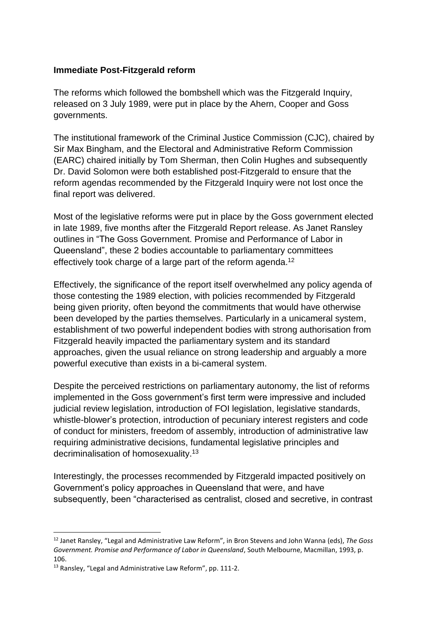### **Immediate Post-Fitzgerald reform**

The reforms which followed the bombshell which was the Fitzgerald Inquiry, released on 3 July 1989, were put in place by the Ahern, Cooper and Goss governments.

The institutional framework of the Criminal Justice Commission (CJC), chaired by Sir Max Bingham, and the Electoral and Administrative Reform Commission (EARC) chaired initially by Tom Sherman, then Colin Hughes and subsequently Dr. David Solomon were both established post-Fitzgerald to ensure that the reform agendas recommended by the Fitzgerald Inquiry were not lost once the final report was delivered.

Most of the legislative reforms were put in place by the Goss government elected in late 1989, five months after the Fitzgerald Report release. As Janet Ransley outlines in "The Goss Government. Promise and Performance of Labor in Queensland", these 2 bodies accountable to parliamentary committees effectively took charge of a large part of the reform agenda.<sup>12</sup>

Effectively, the significance of the report itself overwhelmed any policy agenda of those contesting the 1989 election, with policies recommended by Fitzgerald being given priority, often beyond the commitments that would have otherwise been developed by the parties themselves. Particularly in a unicameral system, establishment of two powerful independent bodies with strong authorisation from Fitzgerald heavily impacted the parliamentary system and its standard approaches, given the usual reliance on strong leadership and arguably a more powerful executive than exists in a bi-cameral system.

Despite the perceived restrictions on parliamentary autonomy, the list of reforms implemented in the Goss government's first term were impressive and included judicial review legislation, introduction of FOI legislation, legislative standards, whistle-blower's protection, introduction of pecuniary interest registers and code of conduct for ministers, freedom of assembly, introduction of administrative law requiring administrative decisions, fundamental legislative principles and decriminalisation of homosexuality.<sup>13</sup>

Interestingly, the processes recommended by Fitzgerald impacted positively on Government's policy approaches in Queensland that were, and have subsequently, been "characterised as centralist, closed and secretive, in contrast

<sup>12</sup> Janet Ransley, "Legal and Administrative Law Reform", in Bron Stevens and John Wanna (eds), *The Goss Government. Promise and Performance of Labor in Queensland*, South Melbourne, Macmillan, 1993, p. 106.

<sup>&</sup>lt;sup>13</sup> Ransley, "Legal and Administrative Law Reform", pp. 111-2.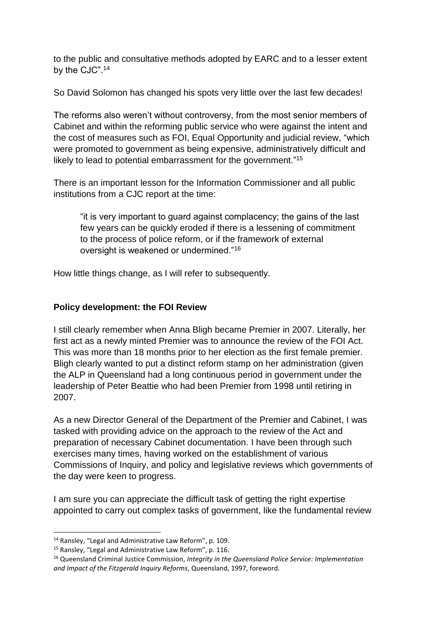to the public and consultative methods adopted by EARC and to a lesser extent by the CJC". 14

So David Solomon has changed his spots very little over the last few decades!

The reforms also weren't without controversy, from the most senior members of Cabinet and within the reforming public service who were against the intent and the cost of measures such as FOI, Equal Opportunity and judicial review, "which were promoted to government as being expensive, administratively difficult and likely to lead to potential embarrassment for the government."<sup>15</sup>

There is an important lesson for the Information Commissioner and all public institutions from a CJC report at the time:

"it is very important to guard against complacency; the gains of the last few years can be quickly eroded if there is a lessening of commitment to the process of police reform, or if the framework of external oversight is weakened or undermined."<sup>16</sup>

How little things change, as I will refer to subsequently.

## **Policy development: the FOI Review**

I still clearly remember when Anna Bligh became Premier in 2007. Literally, her first act as a newly minted Premier was to announce the review of the FOI Act. This was more than 18 months prior to her election as the first female premier. Bligh clearly wanted to put a distinct reform stamp on her administration (given the ALP in Queensland had a long continuous period in government under the leadership of Peter Beattie who had been Premier from 1998 until retiring in 2007.

As a new Director General of the Department of the Premier and Cabinet, I was tasked with providing advice on the approach to the review of the Act and preparation of necessary Cabinet documentation. I have been through such exercises many times, having worked on the establishment of various Commissions of Inquiry, and policy and legislative reviews which governments of the day were keen to progress.

I am sure you can appreciate the difficult task of getting the right expertise appointed to carry out complex tasks of government, like the fundamental review

<sup>14</sup> Ransley, "Legal and Administrative Law Reform", p. 109.

<sup>15</sup> Ransley, "Legal and Administrative Law Reform", p. 116.

<sup>16</sup> Queensland Criminal Justice Commission, *Integrity in the Queensland Police Service: Implementation and Impact of the Fitzgerald Inquiry Reforms*, Queensland, 1997, foreword.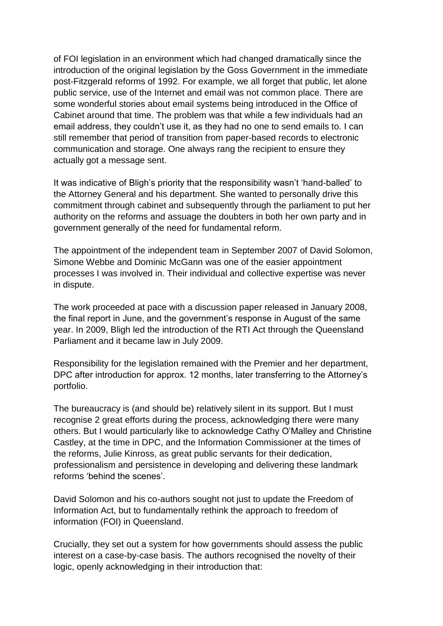of FOI legislation in an environment which had changed dramatically since the introduction of the original legislation by the Goss Government in the immediate post-Fitzgerald reforms of 1992. For example, we all forget that public, let alone public service, use of the Internet and email was not common place. There are some wonderful stories about email systems being introduced in the Office of Cabinet around that time. The problem was that while a few individuals had an email address, they couldn't use it, as they had no one to send emails to. I can still remember that period of transition from paper-based records to electronic communication and storage. One always rang the recipient to ensure they actually got a message sent.

It was indicative of Bligh's priority that the responsibility wasn't 'hand-balled' to the Attorney General and his department. She wanted to personally drive this commitment through cabinet and subsequently through the parliament to put her authority on the reforms and assuage the doubters in both her own party and in government generally of the need for fundamental reform.

The appointment of the independent team in September 2007 of David Solomon, Simone Webbe and Dominic McGann was one of the easier appointment processes I was involved in. Their individual and collective expertise was never in dispute.

The work proceeded at pace with a discussion paper released in January 2008, the final report in June, and the government's response in August of the same year. In 2009, Bligh led the introduction of the RTI Act through the Queensland Parliament and it became law in July 2009.

Responsibility for the legislation remained with the Premier and her department, DPC after introduction for approx. 12 months, later transferring to the Attorney's portfolio.

The bureaucracy is (and should be) relatively silent in its support. But I must recognise 2 great efforts during the process, acknowledging there were many others. But I would particularly like to acknowledge Cathy O'Malley and Christine Castley, at the time in DPC, and the Information Commissioner at the times of the reforms, Julie Kinross, as great public servants for their dedication, professionalism and persistence in developing and delivering these landmark reforms 'behind the scenes'.

David Solomon and his co-authors sought not just to update the Freedom of Information Act, but to fundamentally rethink the approach to freedom of information (FOI) in Queensland.

Crucially, they set out a system for how governments should assess the public interest on a case-by-case basis. The authors recognised the novelty of their logic, openly acknowledging in their introduction that: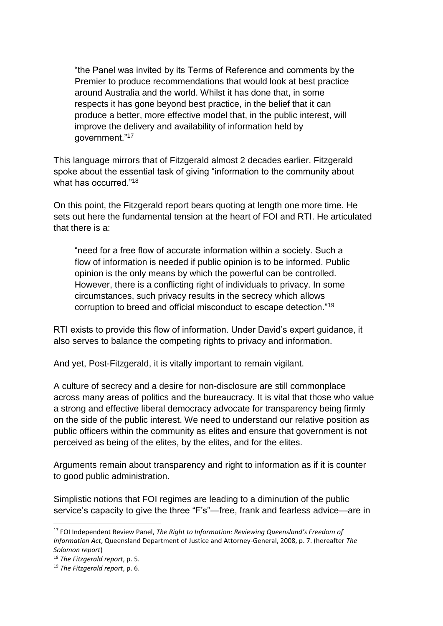"the Panel was invited by its Terms of Reference and comments by the Premier to produce recommendations that would look at best practice around Australia and the world. Whilst it has done that, in some respects it has gone beyond best practice, in the belief that it can produce a better, more effective model that, in the public interest, will improve the delivery and availability of information held by government."<sup>17</sup>

This language mirrors that of Fitzgerald almost 2 decades earlier. Fitzgerald spoke about the essential task of giving "information to the community about what has occurred."<sup>18</sup>

On this point, the Fitzgerald report bears quoting at length one more time. He sets out here the fundamental tension at the heart of FOI and RTI. He articulated that there is a:

"need for a free flow of accurate information within a society. Such a flow of information is needed if public opinion is to be informed. Public opinion is the only means by which the powerful can be controlled. However, there is a conflicting right of individuals to privacy. In some circumstances, such privacy results in the secrecy which allows corruption to breed and official misconduct to escape detection."<sup>19</sup>

RTI exists to provide this flow of information. Under David's expert guidance, it also serves to balance the competing rights to privacy and information.

And yet, Post-Fitzgerald, it is vitally important to remain vigilant.

A culture of secrecy and a desire for non-disclosure are still commonplace across many areas of politics and the bureaucracy. It is vital that those who value a strong and effective liberal democracy advocate for transparency being firmly on the side of the public interest. We need to understand our relative position as public officers within the community as elites and ensure that government is not perceived as being of the elites, by the elites, and for the elites.

Arguments remain about transparency and right to information as if it is counter to good public administration.

Simplistic notions that FOI regimes are leading to a diminution of the public service's capacity to give the three "F's"—free, frank and fearless advice—are in

<sup>17</sup> FOI Independent Review Panel, *The Right to Information: Reviewing Queensland's Freedom of Information Act*, Queensland Department of Justice and Attorney-General, 2008, p. 7. (hereafter *The Solomon report*)

<sup>18</sup> *The Fitzgerald report*, p. 5.

<sup>19</sup> *The Fitzgerald report*, p. 6.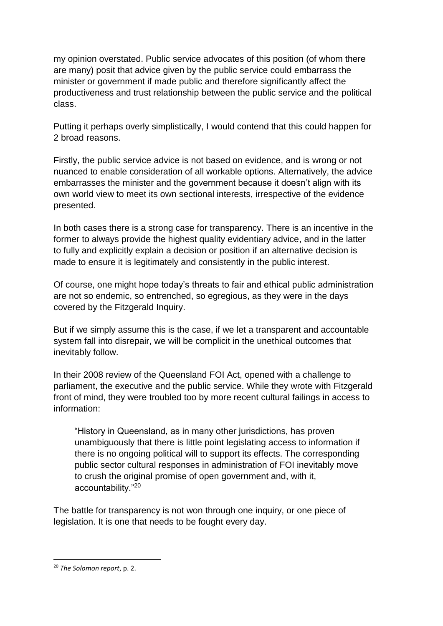my opinion overstated. Public service advocates of this position (of whom there are many) posit that advice given by the public service could embarrass the minister or government if made public and therefore significantly affect the productiveness and trust relationship between the public service and the political class.

Putting it perhaps overly simplistically, I would contend that this could happen for 2 broad reasons.

Firstly, the public service advice is not based on evidence, and is wrong or not nuanced to enable consideration of all workable options. Alternatively, the advice embarrasses the minister and the government because it doesn't align with its own world view to meet its own sectional interests, irrespective of the evidence presented.

In both cases there is a strong case for transparency. There is an incentive in the former to always provide the highest quality evidentiary advice, and in the latter to fully and explicitly explain a decision or position if an alternative decision is made to ensure it is legitimately and consistently in the public interest.

Of course, one might hope today's threats to fair and ethical public administration are not so endemic, so entrenched, so egregious, as they were in the days covered by the Fitzgerald Inquiry.

But if we simply assume this is the case, if we let a transparent and accountable system fall into disrepair, we will be complicit in the unethical outcomes that inevitably follow.

In their 2008 review of the Queensland FOI Act, opened with a challenge to parliament, the executive and the public service. While they wrote with Fitzgerald front of mind, they were troubled too by more recent cultural failings in access to information:

"History in Queensland, as in many other jurisdictions, has proven unambiguously that there is little point legislating access to information if there is no ongoing political will to support its effects. The corresponding public sector cultural responses in administration of FOI inevitably move to crush the original promise of open government and, with it, accountability."<sup>20</sup>

The battle for transparency is not won through one inquiry, or one piece of legislation. It is one that needs to be fought every day.

<sup>20</sup> *The Solomon report*, p. 2.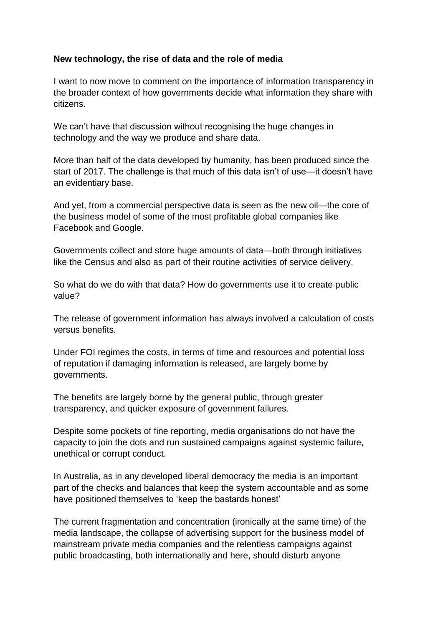### **New technology, the rise of data and the role of media**

I want to now move to comment on the importance of information transparency in the broader context of how governments decide what information they share with citizens.

We can't have that discussion without recognising the huge changes in technology and the way we produce and share data.

More than half of the data developed by humanity, has been produced since the start of 2017. The challenge is that much of this data isn't of use—it doesn't have an evidentiary base.

And yet, from a commercial perspective data is seen as the new oil—the core of the business model of some of the most profitable global companies like Facebook and Google.

Governments collect and store huge amounts of data—both through initiatives like the Census and also as part of their routine activities of service delivery.

So what do we do with that data? How do governments use it to create public value?

The release of government information has always involved a calculation of costs versus benefits.

Under FOI regimes the costs, in terms of time and resources and potential loss of reputation if damaging information is released, are largely borne by governments.

The benefits are largely borne by the general public, through greater transparency, and quicker exposure of government failures.

Despite some pockets of fine reporting, media organisations do not have the capacity to join the dots and run sustained campaigns against systemic failure, unethical or corrupt conduct.

In Australia, as in any developed liberal democracy the media is an important part of the checks and balances that keep the system accountable and as some have positioned themselves to 'keep the bastards honest'

The current fragmentation and concentration (ironically at the same time) of the media landscape, the collapse of advertising support for the business model of mainstream private media companies and the relentless campaigns against public broadcasting, both internationally and here, should disturb anyone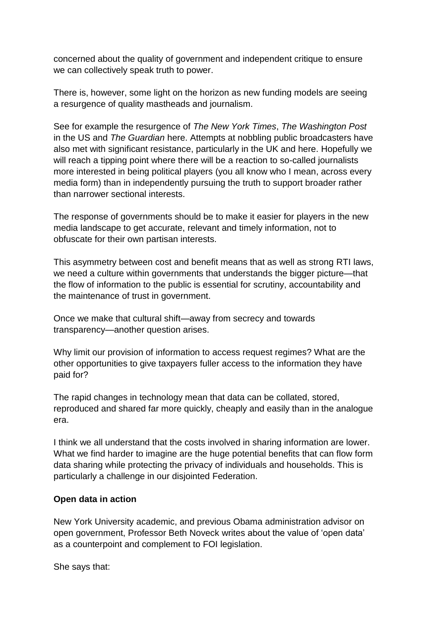concerned about the quality of government and independent critique to ensure we can collectively speak truth to power.

There is, however, some light on the horizon as new funding models are seeing a resurgence of quality mastheads and journalism.

See for example the resurgence of *The New York Times*, *The Washington Post* in the US and *The Guardian* here. Attempts at nobbling public broadcasters have also met with significant resistance, particularly in the UK and here. Hopefully we will reach a tipping point where there will be a reaction to so-called journalists more interested in being political players (you all know who I mean, across every media form) than in independently pursuing the truth to support broader rather than narrower sectional interests.

The response of governments should be to make it easier for players in the new media landscape to get accurate, relevant and timely information, not to obfuscate for their own partisan interests.

This asymmetry between cost and benefit means that as well as strong RTI laws, we need a culture within governments that understands the bigger picture—that the flow of information to the public is essential for scrutiny, accountability and the maintenance of trust in government.

Once we make that cultural shift—away from secrecy and towards transparency—another question arises.

Why limit our provision of information to access request regimes? What are the other opportunities to give taxpayers fuller access to the information they have paid for?

The rapid changes in technology mean that data can be collated, stored, reproduced and shared far more quickly, cheaply and easily than in the analogue era.

I think we all understand that the costs involved in sharing information are lower. What we find harder to imagine are the huge potential benefits that can flow form data sharing while protecting the privacy of individuals and households. This is particularly a challenge in our disjointed Federation.

### **Open data in action**

New York University academic, and previous Obama administration advisor on open government, Professor Beth Noveck writes about the value of 'open data' as a counterpoint and complement to FOI legislation.

She says that: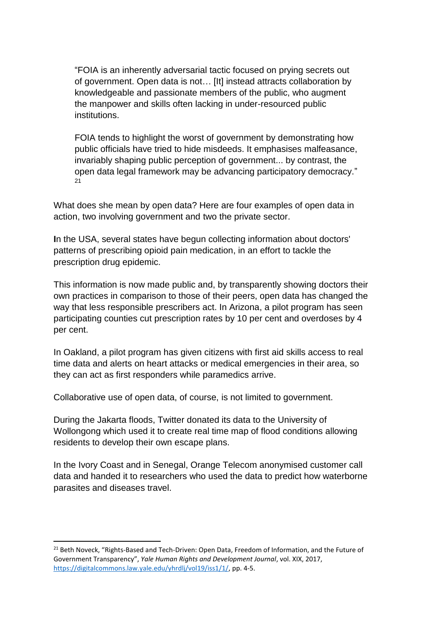"FOIA is an inherently adversarial tactic focused on prying secrets out of government. Open data is not… [It] instead attracts collaboration by knowledgeable and passionate members of the public, who augment the manpower and skills often lacking in under-resourced public institutions.

FOIA tends to highlight the worst of government by demonstrating how public officials have tried to hide misdeeds. It emphasises malfeasance, invariably shaping public perception of government... by contrast, the open data legal framework may be advancing participatory democracy."  $21$ 

What does she mean by open data? Here are four examples of open data in action, two involving government and two the private sector.

**I**n the USA, several states have begun collecting information about doctors' patterns of prescribing opioid pain medication, in an effort to tackle the prescription drug epidemic.

This information is now made public and, by transparently showing doctors their own practices in comparison to those of their peers, open data has changed the way that less responsible prescribers act. In Arizona, a pilot program has seen participating counties cut prescription rates by 10 per cent and overdoses by 4 per cent.

In Oakland, a pilot program has given citizens with first aid skills access to real time data and alerts on heart attacks or medical emergencies in their area, so they can act as first responders while paramedics arrive.

Collaborative use of open data, of course, is not limited to government.

During the Jakarta floods, Twitter donated its data to the University of Wollongong which used it to create real time map of flood conditions allowing residents to develop their own escape plans.

In the Ivory Coast and in Senegal, Orange Telecom anonymised customer call data and handed it to researchers who used the data to predict how waterborne parasites and diseases travel.

<sup>&</sup>lt;sup>21</sup> Beth Noveck, "Rights-Based and Tech-Driven: Open Data, Freedom of Information, and the Future of Government Transparency", *Yale Human Rights and Development Journal*, vol. XIX, 2017, [https://digitalcommons.law.yale.edu/yhrdlj/vol19/iss1/1/,](https://digitalcommons.law.yale.edu/yhrdlj/vol19/iss1/1/) pp. 4-5.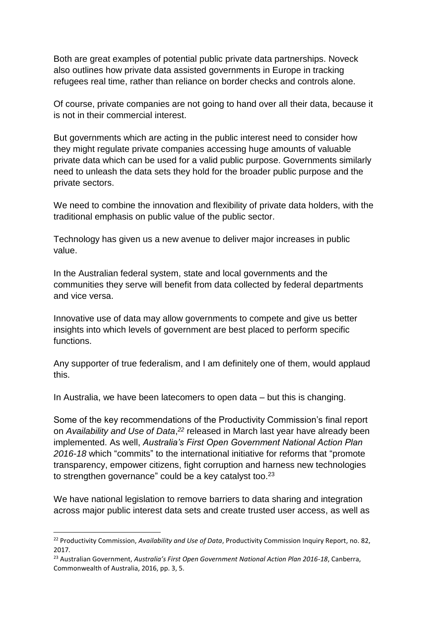Both are great examples of potential public private data partnerships. Noveck also outlines how private data assisted governments in Europe in tracking refugees real time, rather than reliance on border checks and controls alone.

Of course, private companies are not going to hand over all their data, because it is not in their commercial interest.

But governments which are acting in the public interest need to consider how they might regulate private companies accessing huge amounts of valuable private data which can be used for a valid public purpose. Governments similarly need to unleash the data sets they hold for the broader public purpose and the private sectors.

We need to combine the innovation and flexibility of private data holders, with the traditional emphasis on public value of the public sector.

Technology has given us a new avenue to deliver major increases in public value.

In the Australian federal system, state and local governments and the communities they serve will benefit from data collected by federal departments and vice versa.

Innovative use of data may allow governments to compete and give us better insights into which levels of government are best placed to perform specific functions.

Any supporter of true federalism, and I am definitely one of them, would applaud this.

In Australia, we have been latecomers to open data – but this is changing.

Some of the key recommendations of the Productivity Commission's final report on *Availability and Use of Data*, *<sup>22</sup>* released in March last year have already been implemented. As well, *Australia's First Open Government National Action Plan 2016-18* which "commits" to the international initiative for reforms that "promote transparency, empower citizens, fight corruption and harness new technologies to strengthen governance" could be a key catalyst too.<sup>23</sup>

We have national legislation to remove barriers to data sharing and integration across major public interest data sets and create trusted user access, as well as

<sup>22</sup> Productivity Commission, *Availability and Use of Data*, Productivity Commission Inquiry Report, no. 82, 2017.

<sup>23</sup> Australian Government, *Australia's First Open Government National Action Plan 2016-18*, Canberra, Commonwealth of Australia, 2016, pp. 3, 5.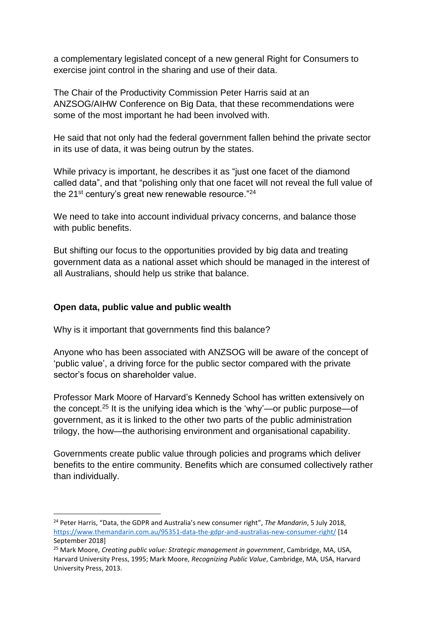a complementary legislated concept of a new general Right for Consumers to exercise joint control in the sharing and use of their data.

The Chair of the Productivity Commission Peter Harris said at an ANZSOG/AIHW Conference on Big Data, that these recommendations were some of the most important he had been involved with.

He said that not only had the federal government fallen behind the private sector in its use of data, it was being outrun by the states.

While privacy is important, he describes it as "just one facet of the diamond called data", and that "polishing only that one facet will not reveal the full value of the 21 $^{\rm st}$  century's great new renewable resource." $^{24}$ 

We need to take into account individual privacy concerns, and balance those with public benefits.

But shifting our focus to the opportunities provided by big data and treating government data as a national asset which should be managed in the interest of all Australians, should help us strike that balance.

### **Open data, public value and public wealth**

**.** 

Why is it important that governments find this balance?

Anyone who has been associated with ANZSOG will be aware of the concept of 'public value', a driving force for the public sector compared with the private sector's focus on shareholder value.

Professor Mark Moore of Harvard's Kennedy School has written extensively on the concept.<sup>25</sup> It is the unifying idea which is the 'why'—or public purpose—of government, as it is linked to the other two parts of the public administration trilogy, the how—the authorising environment and organisational capability.

Governments create public value through policies and programs which deliver benefits to the entire community. Benefits which are consumed collectively rather than individually.

<sup>24</sup> Peter Harris, "Data, the GDPR and Australia's new consumer right", *The Mandarin*, 5 July 2018, <https://www.themandarin.com.au/95351-data-the-gdpr-and-australias-new-consumer-right/> [14 September 2018]

<sup>25</sup> Mark Moore, *Creating public value: Strategic management in government*, Cambridge, MA, USA, Harvard University Press, 1995; Mark Moore, *Recognizing Public Value*, Cambridge, MA, USA, Harvard University Press, 2013.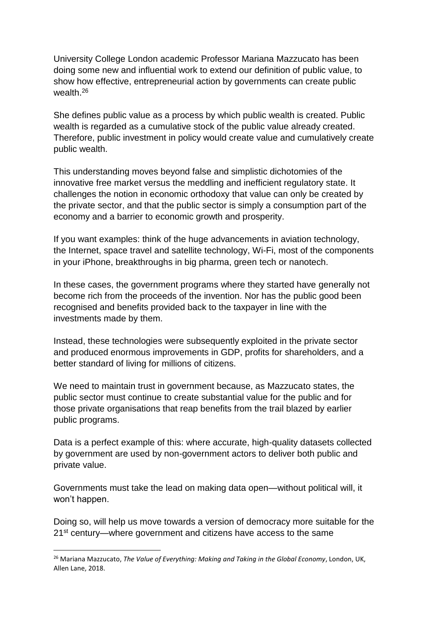University College London academic Professor Mariana Mazzucato has been doing some new and influential work to extend our definition of public value, to show how effective, entrepreneurial action by governments can create public wealth.<sup>26</sup>

She defines public value as a process by which public wealth is created. Public wealth is regarded as a cumulative stock of the public value already created. Therefore, public investment in policy would create value and cumulatively create public wealth.

This understanding moves beyond false and simplistic dichotomies of the innovative free market versus the meddling and inefficient regulatory state. It challenges the notion in economic orthodoxy that value can only be created by the private sector, and that the public sector is simply a consumption part of the economy and a barrier to economic growth and prosperity.

If you want examples: think of the huge advancements in aviation technology, the Internet, space travel and satellite technology, Wi-Fi, most of the components in your iPhone, breakthroughs in big pharma, green tech or nanotech.

In these cases, the government programs where they started have generally not become rich from the proceeds of the invention. Nor has the public good been recognised and benefits provided back to the taxpayer in line with the investments made by them.

Instead, these technologies were subsequently exploited in the private sector and produced enormous improvements in GDP, profits for shareholders, and a better standard of living for millions of citizens.

We need to maintain trust in government because, as Mazzucato states, the public sector must continue to create substantial value for the public and for those private organisations that reap benefits from the trail blazed by earlier public programs.

Data is a perfect example of this: where accurate, high-quality datasets collected by government are used by non-government actors to deliver both public and private value.

Governments must take the lead on making data open—without political will, it won't happen.

Doing so, will help us move towards a version of democracy more suitable for the 21st century—where government and citizens have access to the same

<sup>26</sup> Mariana Mazzucato, *The Value of Everything: Making and Taking in the Global Economy*, London, UK, Allen Lane, 2018.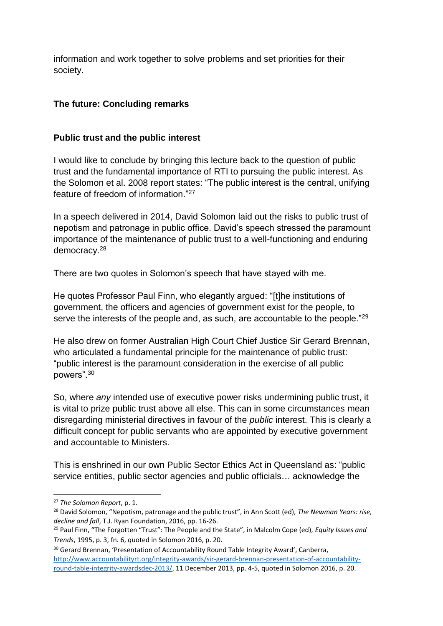information and work together to solve problems and set priorities for their society.

# **The future: Concluding remarks**

# **Public trust and the public interest**

I would like to conclude by bringing this lecture back to the question of public trust and the fundamental importance of RTI to pursuing the public interest. As the Solomon et al. 2008 report states: "The public interest is the central, unifying feature of freedom of information "27

In a speech delivered in 2014, David Solomon laid out the risks to public trust of nepotism and patronage in public office. David's speech stressed the paramount importance of the maintenance of public trust to a well-functioning and enduring democracy.<sup>28</sup>

There are two quotes in Solomon's speech that have stayed with me.

He quotes Professor Paul Finn, who elegantly argued: "[t]he institutions of government, the officers and agencies of government exist for the people, to serve the interests of the people and, as such, are accountable to the people."<sup>29</sup>

He also drew on former Australian High Court Chief Justice Sir Gerard Brennan, who articulated a fundamental principle for the maintenance of public trust: "public interest is the paramount consideration in the exercise of all public powers".<sup>30</sup>

So, where *any* intended use of executive power risks undermining public trust, it is vital to prize public trust above all else. This can in some circumstances mean disregarding ministerial directives in favour of the *public* interest. This is clearly a difficult concept for public servants who are appointed by executive government and accountable to Ministers.

This is enshrined in our own Public Sector Ethics Act in Queensland as: "public service entities, public sector agencies and public officials… acknowledge the

<sup>27</sup> *The Solomon Report*, p. 1.

<sup>28</sup> David Solomon, "Nepotism, patronage and the public trust", in Ann Scott (ed), *The Newman Years: rise, decline and fall*, T.J. Ryan Foundation, 2016, pp. 16-26.

<sup>29</sup> Paul Finn, "The Forgotten "Trust": The People and the State", in Malcolm Cope (ed), *Equity Issues and Trends*, 1995, p. 3, fn. 6, quoted in Solomon 2016, p. 20.

<sup>&</sup>lt;sup>30</sup> Gerard Brennan, 'Presentation of Accountability Round Table Integrity Award', Canberra, [http://www.accountabilityrt.org/integrity-awards/sir-gerard-brennan-presentation-of-accountability](http://www.accountabilityrt.org/integrity-awards/sir-gerard-brennan-presentation-of-accountability-round-table-integrity-awardsdec-2013/)[round-table-integrity-awardsdec-2013/,](http://www.accountabilityrt.org/integrity-awards/sir-gerard-brennan-presentation-of-accountability-round-table-integrity-awardsdec-2013/) 11 December 2013, pp. 4-5, quoted in Solomon 2016, p. 20.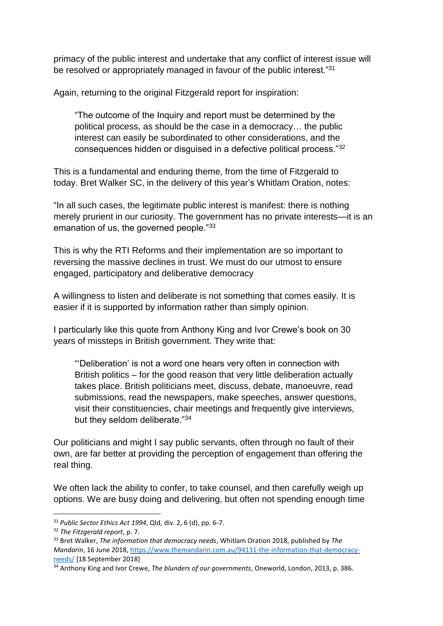primacy of the public interest and undertake that any conflict of interest issue will be resolved or appropriately managed in favour of the public interest."<sup>31</sup>

Again, returning to the original Fitzgerald report for inspiration:

"The outcome of the Inquiry and report must be determined by the political process, as should be the case in a democracy… the public interest can easily be subordinated to other considerations, and the consequences hidden or disguised in a defective political process."<sup>32</sup>

This is a fundamental and enduring theme, from the time of Fitzgerald to today. Bret Walker SC, in the delivery of this year's Whitlam Oration, notes:

"In all such cases, the legitimate public interest is manifest: there is nothing merely prurient in our curiosity. The government has no private interests—it is an emanation of us, the governed people."33

This is why the RTI Reforms and their implementation are so important to reversing the massive declines in trust. We must do our utmost to ensure engaged, participatory and deliberative democracy

A willingness to listen and deliberate is not something that comes easily. It is easier if it is supported by information rather than simply opinion.

I particularly like this quote from Anthony King and Ivor Crewe's book on 30 years of missteps in British government. They write that:

"'Deliberation' is not a word one hears very often in connection with British politics – for the good reason that very little deliberation actually takes place. British politicians meet, discuss, debate, manoeuvre, read submissions, read the newspapers, make speeches, answer questions, visit their constituencies, chair meetings and frequently give interviews, but they seldom deliberate."<sup>34</sup>

Our politicians and might I say public servants, often through no fault of their own, are far better at providing the perception of engagement than offering the real thing.

We often lack the ability to confer, to take counsel, and then carefully weigh up options. We are busy doing and delivering, but often not spending enough time

**<sup>.</sup>** <sup>31</sup> *Public Sector Ethics Act 1994*, Qld, div. 2, 6 (d), pp. 6-7.

<sup>32</sup> *The Fitzgerald report*, p. 7.

<sup>33</sup> Bret Walker, *The information that democracy needs*, Whitlam Oration 2018, published by *The Mandarin*, 16 June 2018, [https://www.themandarin.com.au/94131-the-information-that-democracy](https://www.themandarin.com.au/94131-the-information-that-democracy-needs/)[needs/](https://www.themandarin.com.au/94131-the-information-that-democracy-needs/) [18 September 2018]

<sup>34</sup> Anthony King and Ivor Crewe, *The blunders of our governments*, Oneworld, London, 2013, p. 386.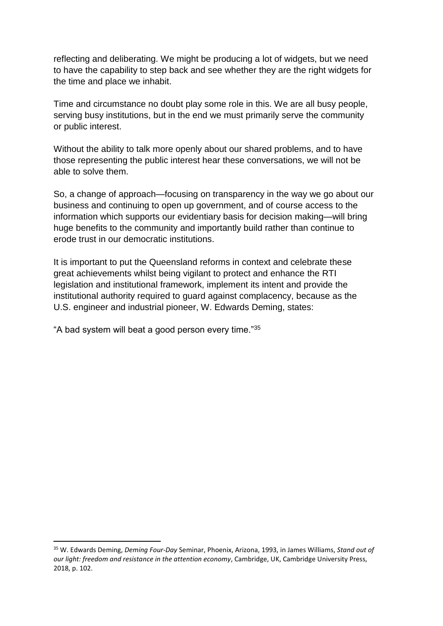reflecting and deliberating. We might be producing a lot of widgets, but we need to have the capability to step back and see whether they are the right widgets for the time and place we inhabit.

Time and circumstance no doubt play some role in this. We are all busy people, serving busy institutions, but in the end we must primarily serve the community or public interest.

Without the ability to talk more openly about our shared problems, and to have those representing the public interest hear these conversations, we will not be able to solve them.

So, a change of approach—focusing on transparency in the way we go about our business and continuing to open up government, and of course access to the information which supports our evidentiary basis for decision making—will bring huge benefits to the community and importantly build rather than continue to erode trust in our democratic institutions.

It is important to put the Queensland reforms in context and celebrate these great achievements whilst being vigilant to protect and enhance the RTI legislation and institutional framework, implement its intent and provide the institutional authority required to guard against complacency, because as the U.S. engineer and industrial pioneer, W. Edwards Deming, states:

"A bad system will beat a good person every time."<sup>35</sup>

<sup>35</sup> W. Edwards Deming, *Deming Four-Day* Seminar, Phoenix, Arizona, 1993, in James Williams, *Stand out of our light: freedom and resistance in the attention economy*, Cambridge, UK, Cambridge University Press, 2018, p. 102.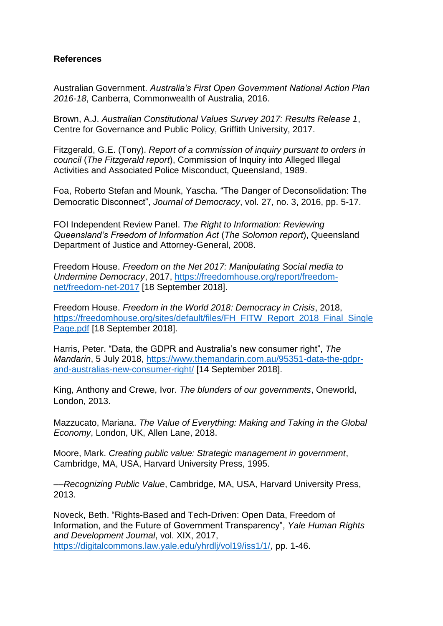### **References**

Australian Government. *Australia's First Open Government National Action Plan 2016-18*, Canberra, Commonwealth of Australia, 2016.

Brown, A.J. *Australian Constitutional Values Survey 2017: Results Release 1*, Centre for Governance and Public Policy, Griffith University, 2017.

Fitzgerald, G.E. (Tony). *Report of a commission of inquiry pursuant to orders in council* (*The Fitzgerald report*), Commission of Inquiry into Alleged Illegal Activities and Associated Police Misconduct, Queensland, 1989.

Foa, Roberto Stefan and Mounk, Yascha. "The Danger of Deconsolidation: The Democratic Disconnect", *Journal of Democracy*, vol. 27, no. 3, 2016, pp. 5-17.

FOI Independent Review Panel. *The Right to Information: Reviewing Queensland's Freedom of Information Act* (*The Solomon report*), Queensland Department of Justice and Attorney-General, 2008.

Freedom House. *Freedom on the Net 2017: Manipulating Social media to Undermine Democracy*, 2017, [https://freedomhouse.org/report/freedom](https://freedomhouse.org/report/freedom-net/freedom-net-2017)[net/freedom-net-2017](https://freedomhouse.org/report/freedom-net/freedom-net-2017) [18 September 2018].

Freedom House. *Freedom in the World 2018: Democracy in Crisis*, 2018, [https://freedomhouse.org/sites/default/files/FH\\_FITW\\_Report\\_2018\\_Final\\_Single](https://freedomhouse.org/sites/default/files/FH_FITW_Report_2018_Final_SinglePage.pdf) [Page.pdf](https://freedomhouse.org/sites/default/files/FH_FITW_Report_2018_Final_SinglePage.pdf) [18 September 2018].

Harris, Peter. "Data, the GDPR and Australia's new consumer right", *The Mandarin*, 5 July 2018, [https://www.themandarin.com.au/95351-data-the-gdpr](https://www.themandarin.com.au/95351-data-the-gdpr-and-australias-new-consumer-right/)[and-australias-new-consumer-right/](https://www.themandarin.com.au/95351-data-the-gdpr-and-australias-new-consumer-right/) [14 September 2018].

King, Anthony and Crewe, Ivor. *The blunders of our governments*, Oneworld, London, 2013.

Mazzucato, Mariana. *The Value of Everything: Making and Taking in the Global Economy*, London, UK, Allen Lane, 2018.

Moore, Mark. *Creating public value: Strategic management in government*, Cambridge, MA, USA, Harvard University Press, 1995.

––*Recognizing Public Value*, Cambridge, MA, USA, Harvard University Press, 2013.

Noveck, Beth. "Rights-Based and Tech-Driven: Open Data, Freedom of Information, and the Future of Government Transparency", *Yale Human Rights and Development Journal*, vol. XIX, 2017, [https://digitalcommons.law.yale.edu/yhrdlj/vol19/iss1/1/,](https://digitalcommons.law.yale.edu/yhrdlj/vol19/iss1/1/) pp. 1-46.